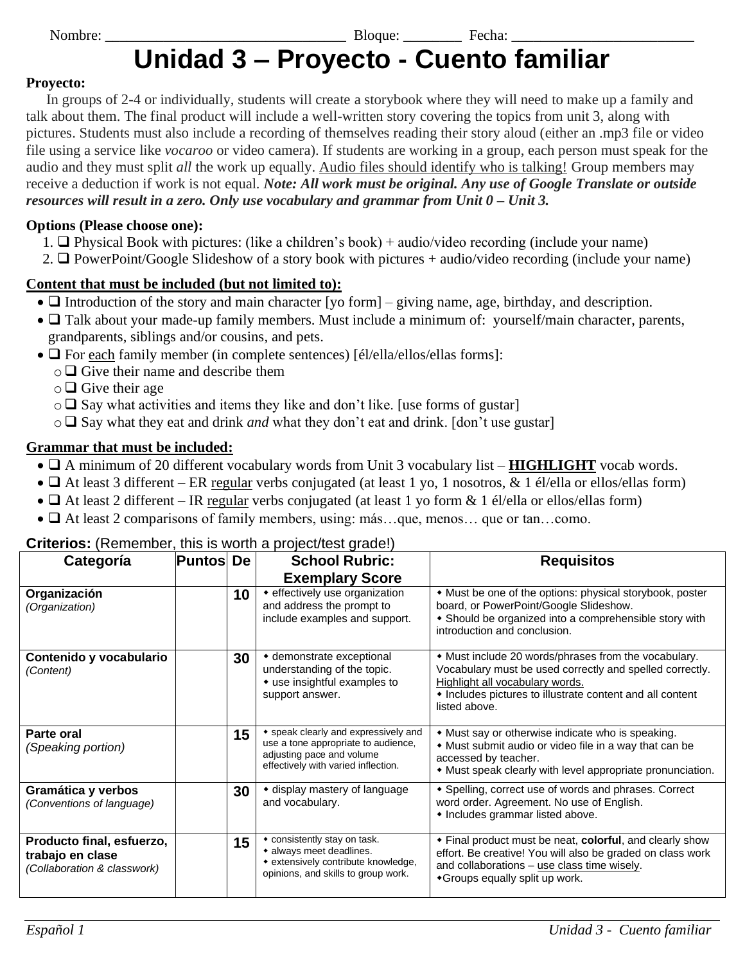Nombre: \_\_\_\_\_\_\_\_\_\_\_\_\_\_\_\_\_\_\_\_\_\_\_\_\_\_\_\_\_\_\_\_\_ Bloque: \_\_\_\_\_\_\_\_ Fecha: \_\_\_\_\_\_\_\_\_\_\_\_\_\_\_\_\_\_\_\_\_\_\_\_\_

# **Unidad 3 – Proyecto - Cuento familiar**

#### **Proyecto:**

In groups of 2-4 or individually, students will create a storybook where they will need to make up a family and talk about them. The final product will include a well-written story covering the topics from unit 3, along with pictures. Students must also include a recording of themselves reading their story aloud (either an .mp3 file or video file using a service like *vocaroo* or video camera). If students are working in a group, each person must speak for the audio and they must split *all* the work up equally. Audio files should identify who is talking! Group members may receive a deduction if work is not equal. *Note: All work must be original. Any use of Google Translate or outside resources will result in a zero. Only use vocabulary and grammar from Unit 0 – Unit 3.*

#### **Options (Please choose one):**

- 1. ❑ Physical Book with pictures: (like a children's book) + audio/video recording (include your name)
- 2. ❑ PowerPoint/Google Slideshow of a story book with pictures + audio/video recording (include your name)

#### **Content that must be included (but not limited to):**

- $\Box$  Introduction of the story and main character [yo form] giving name, age, birthday, and description.
- $\Box$  Talk about your made-up family members. Must include a minimum of: yourself/main character, parents, grandparents, siblings and/or cousins, and pets.
- $\Box$  For each family member (in complete sentences) [él/ella/ellos/ellas forms]:
	- o ❑ Give their name and describe them
	- o ❑ Give their age
	- $\circ \square$  Say what activities and items they like and don't like. [use forms of gustar]
	- o ❑ Say what they eat and drink *and* what they don't eat and drink. [don't use gustar]

#### **Grammar that must be included:**

- ❑ A minimum of 20 different vocabulary words from Unit 3 vocabulary list **HIGHLIGHT** vocab words.
- $\Box$  At least 3 different ER regular verbs conjugated (at least 1 yo, 1 nosotros, & 1 él/ella or ellos/ellas form)
- $\Box$  At least 2 different IR regular verbs conjugated (at least 1 yo form & 1 él/ella or ellos/ellas form)
- $\Box$  At least 2 comparisons of family members, using: más...que, menos... que or tan...como.

| <b>Criterios:</b> (Remember, this is worth a project/test grade!) |                  |  |                        |  |
|-------------------------------------------------------------------|------------------|--|------------------------|--|
| Categoría                                                         | <b>Puntos De</b> |  | <b>School Rubric:</b>  |  |
|                                                                   |                  |  | <b>Exemplary Score</b> |  |

| Categoría                                                                    | <b>Puntos De</b> |    | <b>School Rubric:</b>                                                                                                                           | <b>Requisitos</b>                                                                                                                                                                                                                 |  |
|------------------------------------------------------------------------------|------------------|----|-------------------------------------------------------------------------------------------------------------------------------------------------|-----------------------------------------------------------------------------------------------------------------------------------------------------------------------------------------------------------------------------------|--|
|                                                                              |                  |    | <b>Exemplary Score</b>                                                                                                                          |                                                                                                                                                                                                                                   |  |
| Organización<br>(Organization)                                               |                  | 10 | • effectively use organization<br>and address the prompt to<br>include examples and support.                                                    | • Must be one of the options: physical storybook, poster<br>board, or PowerPoint/Google Slideshow.<br>• Should be organized into a comprehensible story with<br>introduction and conclusion.                                      |  |
| Contenido y vocabulario<br>(Content)                                         |                  | 30 | ◆ demonstrate exceptional<br>understanding of the topic.<br>• use insightful examples to<br>support answer.                                     | • Must include 20 words/phrases from the vocabulary.<br>Vocabulary must be used correctly and spelled correctly.<br>Highlight all vocabulary words.<br>• Includes pictures to illustrate content and all content<br>listed above. |  |
| Parte oral<br>(Speaking portion)                                             |                  | 15 | • speak clearly and expressively and<br>use a tone appropriate to audience,<br>adjusting pace and volume<br>effectively with varied inflection. | • Must say or otherwise indicate who is speaking.<br>• Must submit audio or video file in a way that can be<br>accessed by teacher.<br>• Must speak clearly with level appropriate pronunciation.                                 |  |
| Gramática y verbos<br>(Conventions of language)                              |                  | 30 | • display mastery of language<br>and vocabulary.                                                                                                | * Spelling, correct use of words and phrases. Correct<br>word order. Agreement. No use of English.<br>• Includes grammar listed above.                                                                                            |  |
| Producto final, esfuerzo,<br>trabajo en clase<br>(Collaboration & classwork) |                  | 15 | • consistently stay on task.<br>• always meet deadlines.<br>• extensively contribute knowledge,<br>opinions, and skills to group work.          | • Final product must be neat, colorful, and clearly show<br>effort. Be creative! You will also be graded on class work<br>and collaborations - use class time wisely.<br>◆ Groups equally split up work.                          |  |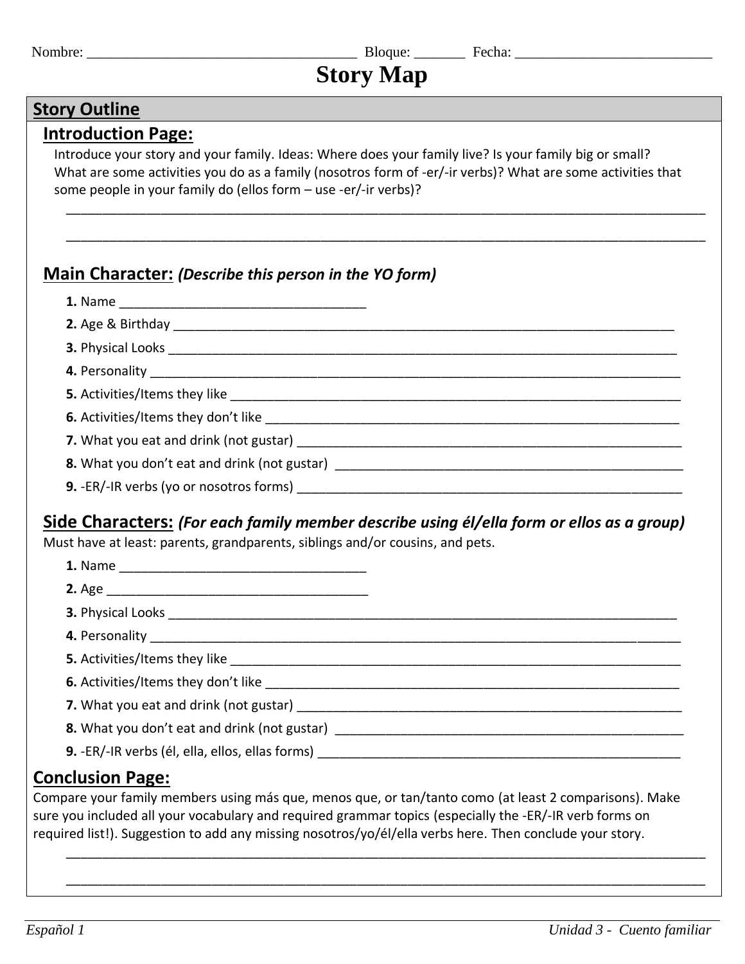Nombre: \_\_\_\_\_\_\_\_\_\_\_\_\_\_\_\_\_\_\_\_\_\_\_\_\_\_\_\_\_\_\_\_\_\_\_\_\_ Bloque: \_\_\_\_\_\_\_ Fecha: \_\_\_\_\_\_\_\_\_\_\_\_\_\_\_\_\_\_\_\_\_\_\_\_\_\_\_

# **Story Map**

# **Story Outline**

#### **Introduction Page:**

Introduce your story and your family. Ideas: Where does your family live? Is your family big or small? What are some activities you do as a family (nosotros form of -er/-ir verbs)? What are some activities that some people in your family do (ellos form – use -er/-ir verbs)?

\_\_\_\_\_\_\_\_\_\_\_\_\_\_\_\_\_\_\_\_\_\_\_\_\_\_\_\_\_\_\_\_\_\_\_\_\_\_\_\_\_\_\_\_\_\_\_\_\_\_\_\_\_\_\_\_\_\_\_\_\_\_\_\_\_\_\_\_\_\_\_\_\_\_\_\_\_\_\_\_\_\_\_\_\_\_\_\_

\_\_\_\_\_\_\_\_\_\_\_\_\_\_\_\_\_\_\_\_\_\_\_\_\_\_\_\_\_\_\_\_\_\_\_\_\_\_\_\_\_\_\_\_\_\_\_\_\_\_\_\_\_\_\_\_\_\_\_\_\_\_\_\_\_\_\_\_\_\_\_\_\_\_\_\_\_\_\_\_\_\_\_\_\_\_\_\_

### **Main Character:** *(Describe this person in the YO form)*

**1.** Name \_\_\_\_\_\_\_\_\_\_\_\_\_\_\_\_\_\_\_\_\_\_\_\_\_\_\_\_\_\_\_\_\_\_

| 9. -ER/-IR verbs (yo or nosotros forms) |
|-----------------------------------------|

# **Side Characters:** *(For each family member describe using él/ella form or ellos as a group)*

Must have at least: parents, grandparents, siblings and/or cousins, and pets.

| <b>2.</b> Age<br><b>3. Physical Looks</b> | 1. Name        |  |
|-------------------------------------------|----------------|--|
|                                           |                |  |
|                                           |                |  |
|                                           | 4. Personality |  |

**5.** Activities/Items they like \_\_\_\_\_\_\_\_\_\_\_\_\_\_\_\_\_\_\_\_\_\_\_\_\_\_\_\_\_\_\_\_\_\_\_\_\_\_\_\_\_\_\_\_\_\_\_\_\_\_\_\_\_\_\_\_\_\_\_\_\_\_

**6.** Activities/Items they don't like **Example 20** and the set of the set of the set of the set of the set of the set of the set of the set of the set of the set of the set of the set of the set of the set of the set of th

**7.** What you eat and drink (not gustar) **DETENAL SET ASSESS** 

**8.** What you don't eat and drink (not gustar) \_\_\_\_\_\_\_\_\_\_\_\_\_\_\_\_\_\_\_\_\_\_\_\_\_\_\_\_\_\_\_\_\_\_

**9.** -ER/-IR verbs (él, ella, ellos, ellas forms)

# **Conclusion Page:**

Compare your family members using más que, menos que, or tan/tanto como (at least 2 comparisons). Make sure you included all your vocabulary and required grammar topics (especially the -ER/-IR verb forms on required list!). Suggestion to add any missing nosotros/yo/él/ella verbs here. Then conclude your story.

\_\_\_\_\_\_\_\_\_\_\_\_\_\_\_\_\_\_\_\_\_\_\_\_\_\_\_\_\_\_\_\_\_\_\_\_\_\_\_\_\_\_\_\_\_\_\_\_\_\_\_\_\_\_\_\_\_\_\_\_\_\_\_\_\_\_\_\_\_\_\_\_\_\_\_\_\_\_\_\_\_\_\_\_\_\_\_\_

\_\_\_\_\_\_\_\_\_\_\_\_\_\_\_\_\_\_\_\_\_\_\_\_\_\_\_\_\_\_\_\_\_\_\_\_\_\_\_\_\_\_\_\_\_\_\_\_\_\_\_\_\_\_\_\_\_\_\_\_\_\_\_\_\_\_\_\_\_\_\_\_\_\_\_\_\_\_\_\_\_\_\_\_\_\_\_\_